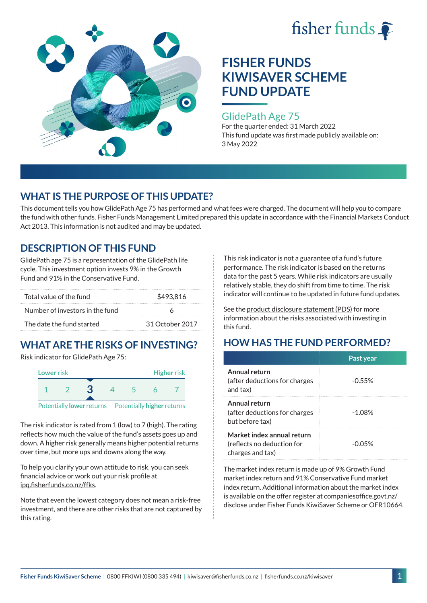



### GlidePath Age 75

For the quarter ended: 31 March 2022 This fund update was first made publicly available on: 3 May 2022

## **WHAT IS THE PURPOSE OF THIS UPDATE?**

This document tells you how GlidePath Age 75 has performed and what fees were charged. The document will help you to compare the fund with other funds. Fisher Funds Management Limited prepared this update in accordance with the Financial Markets Conduct Act 2013. This information is not audited and may be updated.

## **DESCRIPTION OF THIS FUND**

GlidePath age 75 is a representation of the GlidePath life cycle. This investment option invests 9% in the Growth Fund and 91% in the Conservative Fund.

| Total value of the fund         | \$493.816       |  |
|---------------------------------|-----------------|--|
| Number of investors in the fund |                 |  |
| The date the fund started       | 31 October 2017 |  |

# **WHAT ARE THE RISKS OF INVESTING?**

Risk indicator for GlidePath Age 75:



Potentially **lower** returns Potentially **higher** returns

The risk indicator is rated from 1 (low) to 7 (high). The rating reflects how much the value of the fund's assets goes up and down. A higher risk generally means higher potential returns over time, but more ups and downs along the way.

To help you clarify your own attitude to risk, you can seek financial advice or work out your risk profile at [ipq.fisherfunds.co.nz/ffks](https://ipq.fisherfunds.co.nz/ffks).

Note that even the lowest category does not mean a risk-free investment, and there are other risks that are not captured by this rating.

This risk indicator is not a guarantee of a fund's future performance. The risk indicator is based on the returns data for the past 5 years. While risk indicators are usually relatively stable, they do shift from time to time. The risk indicator will continue to be updated in future fund updates.

See the [product disclosure statement \(PDS\)](https://fisherfunds.co.nz/assets/PDS/Fisher-Funds-KiwiSaver-Scheme-PDS.pdf) for more information about the risks associated with investing in this fund.

## **HOW HAS THE FUND PERFORMED?**

|                                                                              | Past year |
|------------------------------------------------------------------------------|-----------|
| Annual return<br>(after deductions for charges<br>and tax)                   | $-0.55%$  |
| Annual return<br>(after deductions for charges<br>but before tax)            | $-1.08%$  |
| Market index annual return<br>(reflects no deduction for<br>charges and tax) | $-0.05%$  |

The market index return is made up of 9% Growth Fund market index return and 91% Conservative Fund market index return. Additional information about the market index is available on the offer register at [companiesoffice.govt.nz/](http://companiesoffice.govt.nz/disclose) [disclose](http://companiesoffice.govt.nz/disclose) under Fisher Funds KiwiSaver Scheme or OFR10664.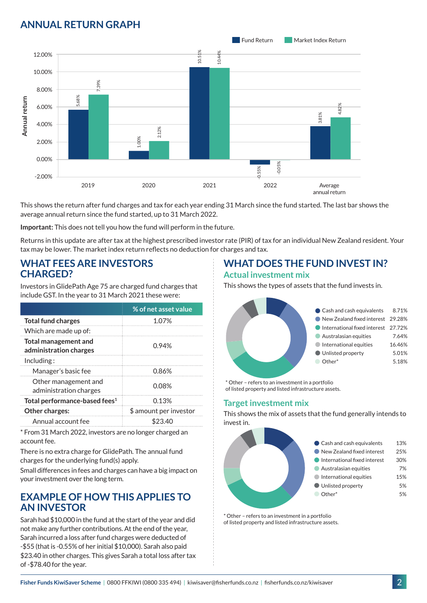## **ANNUAL RETURN GRAPH**



This shows the return after fund charges and tax for each year ending 31 March since the fund started. The last bar shows the average annual return since the fund started, up to 31 March 2022.

**Important:** This does not tell you how the fund will perform in the future.

Returns in this update are after tax at the highest prescribed investor rate (PIR) of tax for an individual New Zealand resident. Your tax may be lower. The market index return reflects no deduction for charges and tax.

### **WHAT FEES ARE INVESTORS CHARGED?**

Investors in GlidePath Age 75 are charged fund charges that include GST. In the year to 31 March 2021 these were:

|                                                       | % of net asset value   |
|-------------------------------------------------------|------------------------|
| <b>Total fund charges</b>                             | 1.07%                  |
| Which are made up of:                                 |                        |
| <b>Total management and</b><br>administration charges | 0.94%                  |
| Inding:                                               |                        |
| Manager's basic fee                                   | 0.86%                  |
| Other management and<br>administration charges        | 0.08%                  |
| Total performance-based fees <sup>1</sup>             | 0.13%                  |
| Other charges:                                        | \$ amount per investor |
| Annual account fee                                    | 23.40                  |

\* From 31 March 2022, investors are no longer charged an account fee.

There is no extra charge for GlidePath. The annual fund charges for the underlying fund(s) apply.

Small differences in fees and charges can have a big impact on your investment over the long term.

### **EXAMPLE OF HOW THIS APPLIES TO AN INVESTOR**

Sarah had \$10,000 in the fund at the start of the year and did not make any further contributions. At the end of the year, Sarah incurred a loss after fund charges were deducted of -\$55 (that is -0.55% of her initial \$10,000). Sarah also paid \$23.40 in other charges. This gives Sarah a total loss after tax of -\$78.40 for the year.

# **WHAT DOES THE FUND INVEST IN?**

#### **Actual investment mix**

This shows the types of assets that the fund invests in.



\* Other – refers to an investment in a portfolio of listed property and listed infrastructure assets.

### **Target investment mix**

This shows the mix of assets that the fund generally intends to invest in.



\* Other – refers to an investment in a portfolio of listed property and listed infrastructure assets.